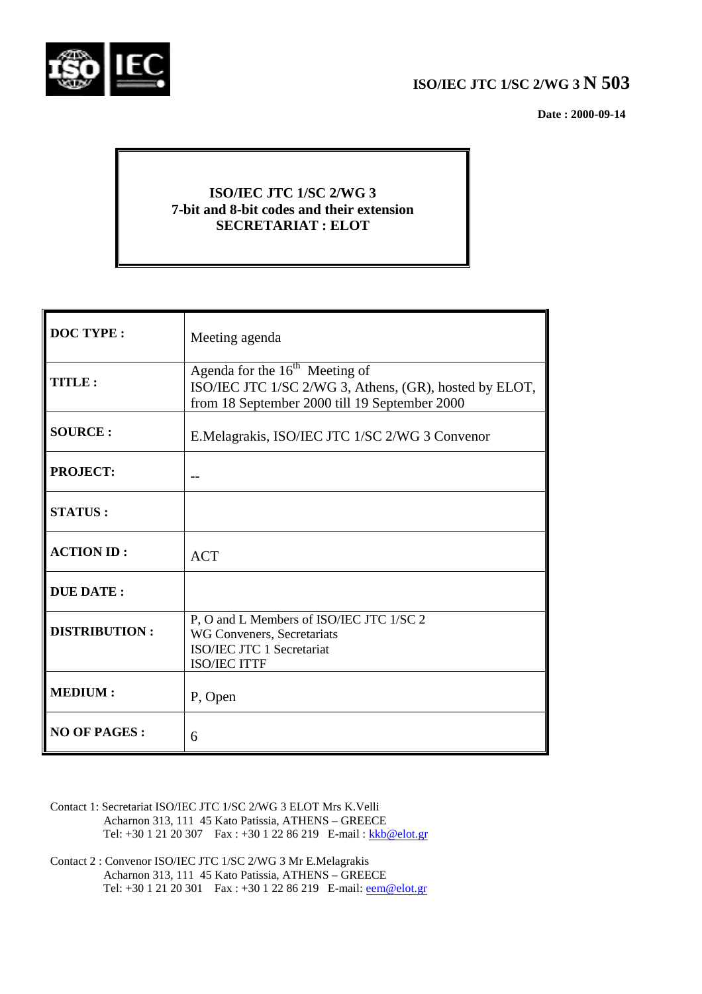

# **ISO/IEC JTC 1/SC 2/WG 3 N 503**

 **Date : 2000-09-14**

# **ISO/IEC JTC 1/SC 2/WG 3 7-bit and 8-bit codes and their extension SECRETARIAT : ELOT**

| <b>DOC TYPE:</b>     | Meeting agenda                                                                                                                              |
|----------------------|---------------------------------------------------------------------------------------------------------------------------------------------|
| TITLE:               | Agenda for the $16th$ Meeting of<br>ISO/IEC JTC 1/SC 2/WG 3, Athens, (GR), hosted by ELOT,<br>from 18 September 2000 till 19 September 2000 |
| <b>SOURCE:</b>       | E.Melagrakis, ISO/IEC JTC 1/SC 2/WG 3 Convenor                                                                                              |
| <b>PROJECT:</b>      |                                                                                                                                             |
| <b>STATUS:</b>       |                                                                                                                                             |
| <b>ACTION ID:</b>    | <b>ACT</b>                                                                                                                                  |
| <b>DUE DATE:</b>     |                                                                                                                                             |
| <b>DISTRIBUTION:</b> | P, O and L Members of ISO/IEC JTC 1/SC 2<br>WG Conveners, Secretariats<br>ISO/IEC JTC 1 Secretariat<br><b>ISO/IEC ITTF</b>                  |
| <b>MEDIUM:</b>       | P, Open                                                                                                                                     |
| <b>NO OF PAGES:</b>  | 6                                                                                                                                           |

- Contact 1: Secretariat ISO/IEC JTC 1/SC 2/WG 3 ELOT Mrs K.Velli Acharnon 313, 111 45 Kato Patissia, ATHENS – GREECE Tel: +30 1 21 20 307 Fax : +30 1 22 86 219 E-mail : kkb@elot.gr
- Contact 2 : Convenor ISO/IEC JTC 1/SC 2/WG 3 Mr E.Melagrakis Acharnon 313, 111 45 Kato Patissia, ATHENS – GREECE Tel: +30 1 21 20 301 Fax : +30 1 22 86 219 E-mail: <u>eem@elot.gr</u>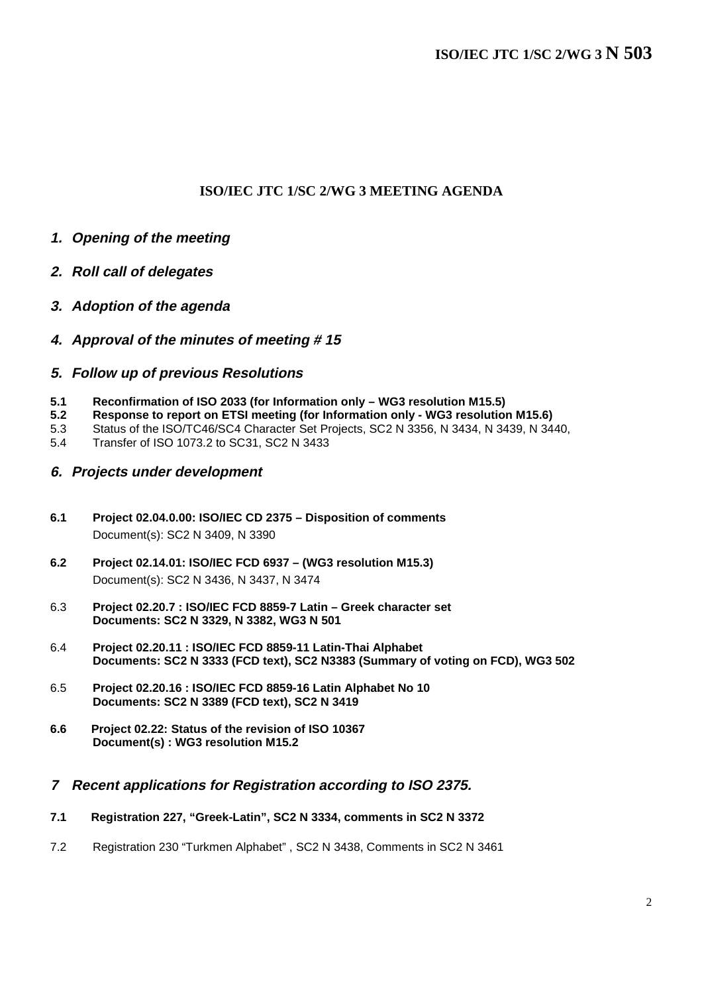## **ISO/IEC JTC 1/SC 2/WG 3 MEETING AGENDA**

- **1. Opening of the meeting**
- **2. Roll call of delegates**
- **3. Adoption of the agenda**
- **4. Approval of the minutes of meeting # 15**

## **5. Follow up of previous Resolutions**

- **5.1 Reconfirmation of ISO 2033 (for Information only WG3 resolution M15.5)**
- **5.2 Response to report on ETSI meeting (for Information only WG3 resolution M15.6)**
- 5.3 Status of the ISO/TC46/SC4 Character Set Projects, SC2 N 3356, N 3434, N 3439, N 3440,
- 5.4 Transfer of ISO 1073.2 to SC31, SC2 N 3433

## **6. Projects under development**

- **6.1 Project 02.04.0.00: ISO/IEC CD 2375 Disposition of comments** Document(s): SC2 N 3409, N 3390
- **6.2 Project 02.14.01: ISO/IEC FCD 6937 (WG3 resolution M15.3)** Document(s): SC2 N 3436, N 3437, N 3474
- 6.3 **Project 02.20.7 : ISO/IEC FCD 8859-7 Latin Greek character set Documents: SC2 N 3329, N 3382, WG3 N 501**
- 6.4 **Project 02.20.11 : ISO/IEC FCD 8859-11 Latin-Thai Alphabet Documents: SC2 N 3333 (FCD text), SC2 N3383 (Summary of voting on FCD), WG3 502**
- 6.5 **Project 02.20.16 : ISO/IEC FCD 8859-16 Latin Alphabet No 10 Documents: SC2 N 3389 (FCD text), SC2 N 3419**
- **6.6 Project 02.22: Status of the revision of ISO 10367 Document(s) : WG3 resolution M15.2**

## **7 Recent applications for Registration according to ISO 2375.**

- **7.1 Registration 227, "Greek-Latin", SC2 N 3334, comments in SC2 N 3372**
- 7.2 Registration 230 "Turkmen Alphabet" , SC2 N 3438, Comments in SC2 N 3461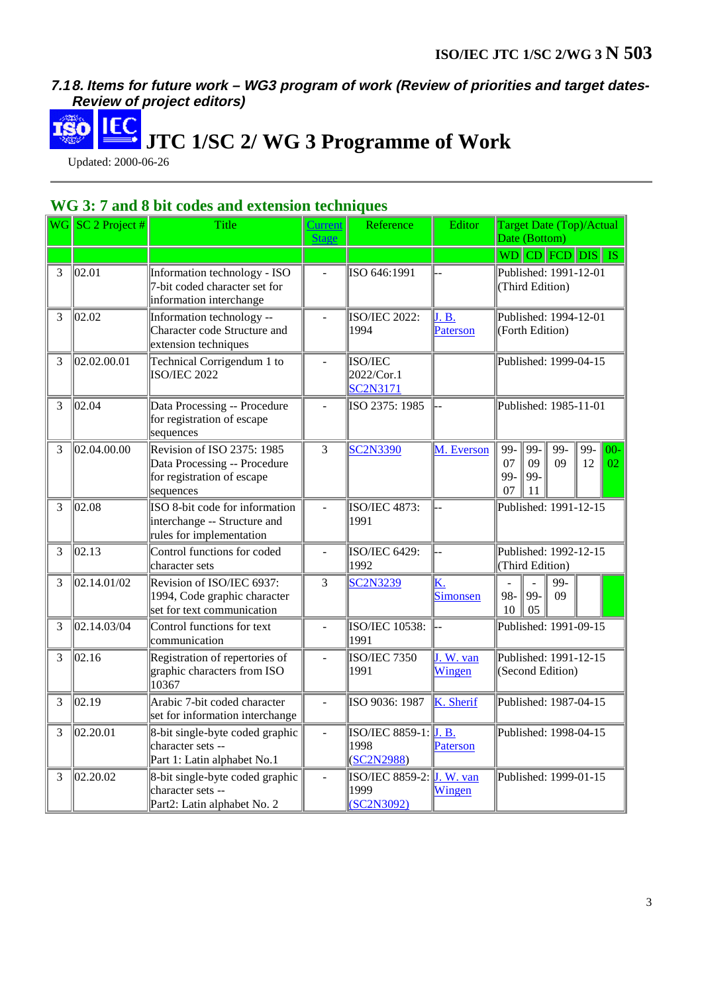# **7.1 8. Items for future work – WG3 program of work (Review of priorities and target dates-Review of project editors)**

 **JTC 1/SC 2/ WG 3 Programme of Work**

Updated: 2000-06-26

# **WG 3: 7 and 8 bit codes and extension techniques**

|   | $\ \text{NG}\ \text{SC} 2\text{ Project}\ $ | Title                                                                                                 | <b>Current</b><br><b>Stage</b> | Reference                                          | Editor                | <b>Target Date (Top)/Actual</b><br>Date (Bottom)                                                  |  |  |
|---|---------------------------------------------|-------------------------------------------------------------------------------------------------------|--------------------------------|----------------------------------------------------|-----------------------|---------------------------------------------------------------------------------------------------|--|--|
|   |                                             |                                                                                                       |                                |                                                    |                       | WD CD FCD DIS IS                                                                                  |  |  |
| 3 | 02.01                                       | Information technology - ISO<br>7-bit coded character set for<br>information interchange              |                                | ISO 646:1991                                       |                       | Published: 1991-12-01<br>(Third Edition)                                                          |  |  |
| 3 | 02.02                                       | Information technology --<br>Character code Structure and<br>extension techniques                     |                                | <b>ISO/IEC 2022:</b><br>1994                       | J.B.<br>Paterson      | Published: 1994-12-01<br>(Forth Edition)                                                          |  |  |
| 3 | 02.02.00.01                                 | Technical Corrigendum 1 to<br><b>ISO/IEC 2022</b>                                                     | $\overline{a}$                 | ISO/IEC<br>2022/Cor.1<br><b>SC2N3171</b>           |                       | Published: 1999-04-15                                                                             |  |  |
| 3 | 02.04                                       | Data Processing -- Procedure<br>for registration of escape<br>sequences                               |                                | ISO 2375: 1985                                     |                       | Published: 1985-11-01                                                                             |  |  |
| 3 | 02.04.00.00                                 | Revision of ISO 2375: 1985<br>Data Processing -- Procedure<br>for registration of escape<br>sequences | 3                              | SC2N3390                                           | M. Everson            | $99-$<br>$99-$<br>$99-$<br>$99-$<br>$00-$<br>07<br>09<br>09<br>12<br>02<br>99-<br>99-<br>07<br>11 |  |  |
| 3 | 02.08                                       | ISO 8-bit code for information<br>interchange -- Structure and<br>rules for implementation            | $\overline{a}$                 | <b>ISO/IEC 4873:</b><br>1991                       |                       | Published: 1991-12-15                                                                             |  |  |
| 3 | 02.13                                       | Control functions for coded<br>character sets                                                         |                                | ISO/IEC 6429:<br>1992                              |                       | Published: 1992-12-15<br>(Third Edition)                                                          |  |  |
| 3 | 02.14.01/02                                 | Revision of ISO/IEC 6937:<br>1994, Code graphic character<br>set for text communication               | 3                              | <b>SC2N3239</b>                                    | <u>K.</u><br>Simonsen | 99-<br>$\overline{a}$<br>$\overline{a}$<br>99-<br>98-<br>09<br>10<br>05                           |  |  |
| 3 | 02.14.03/04                                 | Control functions for text<br>communication                                                           | $\overline{a}$                 | <b>ISO/IEC 10538:</b><br>1991                      |                       | Published: 1991-09-15                                                                             |  |  |
| 3 | 02.16                                       | Registration of repertories of<br>graphic characters from ISO<br>10367                                | $\overline{a}$                 | <b>ISO/IEC 7350</b><br>1991                        | J. W. van<br>Wingen   | Published: 1991-12-15<br>(Second Edition)                                                         |  |  |
| 3 | 02.19                                       | Arabic 7-bit coded character<br>set for information interchange                                       | $\overline{a}$                 | ISO 9036: 1987                                     | K. Sherif             | Published: 1987-04-15                                                                             |  |  |
| 3 | 02.20.01                                    | 8-bit single-byte coded graphic<br>character sets --<br>Part 1: Latin alphabet No.1                   |                                | <b>ISO/IEC 8859-1:</b> J. B.<br>1998<br>(SC2N2988) | Paterson              | Published: 1998-04-15                                                                             |  |  |
| 3 | 02.20.02                                    | 8-bit single-byte coded graphic<br>character sets --<br>Part2: Latin alphabet No. 2                   | $\overline{a}$                 | ISO/IEC 8859-2: J. W. van<br>1999<br>(SC2N3092)    | Wingen                | Published: 1999-01-15                                                                             |  |  |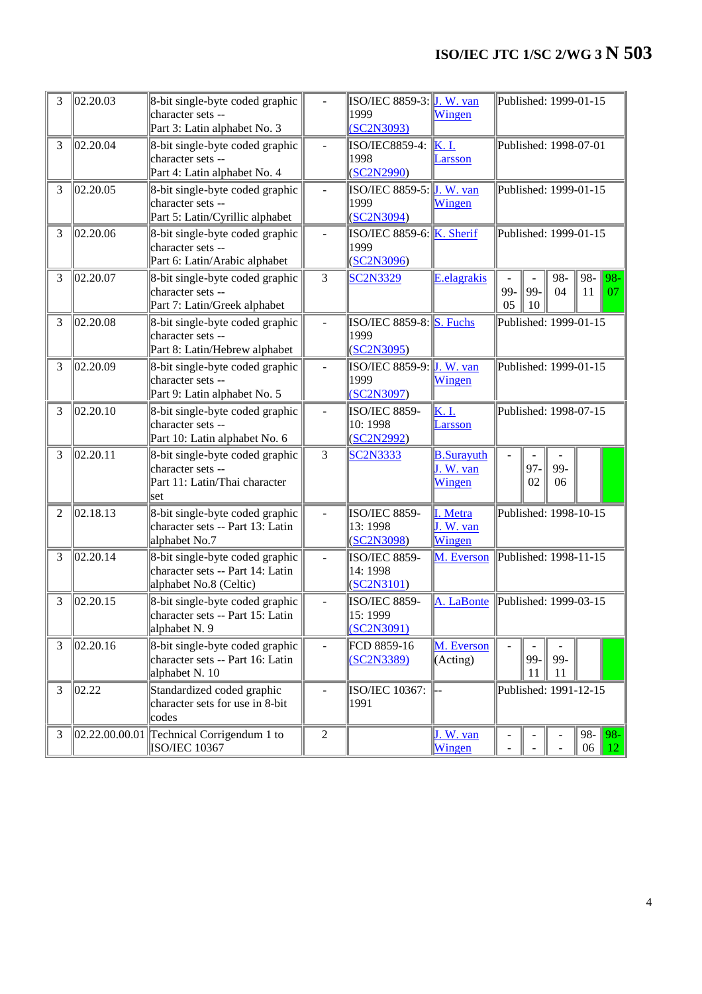# **ISO/IEC JTC 1/SC 2/WG 3 N 503**

| 3              | 02.20.03         | 8-bit single-byte coded graphic<br>character sets --<br>Part 3: Latin alphabet No. 3          |                  | $ISO/IEC 8859-3$ : J. W. van<br>1999<br>(SC2N3093) | Wingen                                   |                       |           | Published: 1999-01-15 |              |              |
|----------------|------------------|-----------------------------------------------------------------------------------------------|------------------|----------------------------------------------------|------------------------------------------|-----------------------|-----------|-----------------------|--------------|--------------|
| 3              | 02.20.04         | 8-bit single-byte coded graphic<br>character sets --<br>Part 4: Latin alphabet No. 4          |                  | ISO/IEC8859-4:<br>1998<br>(SC2N2990)               | K. I.<br>Larsson                         | Published: 1998-07-01 |           |                       |              |              |
| 3              | 02.20.05         | 8-bit single-byte coded graphic<br>character sets --<br>Part 5: Latin/Cyrillic alphabet       |                  | ISO/IEC 8859-5: $J$ . W. van<br>1999<br>(SC2N3094) | Wingen                                   | Published: 1999-01-15 |           |                       |              |              |
| 3              | 02.20.06         | 8-bit single-byte coded graphic<br>character sets --<br>Part 6: Latin/Arabic alphabet         |                  | $ISO/IEC 8859-6$ : K. Sherif<br>1999<br>(SC2N3096) |                                          | Published: 1999-01-15 |           |                       |              |              |
| 3              | 02.20.07         | 8-bit single-byte coded graphic<br>character sets --<br>Part 7: Latin/Greek alphabet          | 3                | <b>SC2N3329</b>                                    | E.elagrakis                              | 99-<br>05             | 99-<br>10 | 98-<br>04             | 98-<br>11    | $98 -$<br>07 |
| 3              | 02.20.08         | 8-bit single-byte coded graphic<br>character sets --<br>Part 8: Latin/Hebrew alphabet         |                  | $ISO/IEC 8859-8$ : S. Fuchs<br>1999<br>(SC2N3095)  |                                          |                       |           | Published: 1999-01-15 |              |              |
| 3              | 02.20.09         | 8-bit single-byte coded graphic<br>character sets --<br>Part 9: Latin alphabet No. 5          |                  | $ISO/IEC 8859-9$ : J. W. van<br>1999<br>(SC2N3097) | Wingen                                   | Published: 1999-01-15 |           |                       |              |              |
| 3              | 02.20.10         | 8-bit single-byte coded graphic<br>character sets --<br>Part 10: Latin alphabet No. 6         |                  | <b>ISO/IEC 8859-</b><br>10: 1998<br>(SC2N2992)     | K.I.<br><b>Larsson</b>                   | Published: 1998-07-15 |           |                       |              |              |
| 3              | 02.20.11         | 8-bit single-byte coded graphic<br>character sets --<br>Part 11: Latin/Thai character<br>set  | 3                | <b>SC2N3333</b>                                    | <b>B.Surayuth</b><br>J. W. van<br>Wingen |                       | 97-<br>02 | 99-<br>06             |              |              |
| $\overline{2}$ | 02.18.13         | 8-bit single-byte coded graphic<br>character sets -- Part 13: Latin<br>alphabet No.7          |                  | <b>ISO/IEC 8859-</b><br>13: 1998<br>(SC2N3098)     | I. Metra<br>J. W. van<br>Wingen          | Published: 1998-10-15 |           |                       |              |              |
| 3              | 02.20.14         | 8-bit single-byte coded graphic<br>character sets -- Part 14: Latin<br>alphabet No.8 (Celtic) |                  | <b>ISO/IEC 8859-</b><br>14: 1998<br>(SC2N3101)     | M. Everson                               | Published: 1998-11-15 |           |                       |              |              |
| 3              | 02.20.15         | 8-bit single-byte coded graphic<br>character sets -- Part 15: Latin<br>alphabet N. 9          |                  | <b>ISO/IEC 8859-</b><br>15: 1999<br>SC2N3091)      | A. LaBonte                               | Published: 1999-03-15 |           |                       |              |              |
| 3              | 02.20.16         | 8-bit single-byte coded graphic<br>character sets -- Part 16: Latin<br>alphabet N. 10         |                  | FCD 8859-16<br>(SC2N3389)                          | M. Everson<br>(Acting)                   |                       | 99-<br>11 | 99-<br>11             |              |              |
| 3              | 02.22            | Standardized coded graphic<br>character sets for use in 8-bit<br>codes                        |                  | <b>ISO/IEC 10367:</b><br>1991                      |                                          | Published: 1991-12-15 |           |                       |              |              |
| 3              | [02.22.00.00.01] | Technical Corrigendum 1 to<br><b>ISO/IEC 10367</b>                                            | $\boldsymbol{2}$ |                                                    | J. W. van<br>Wingen                      |                       |           |                       | $98 -$<br>06 | $ 98-$<br>12 |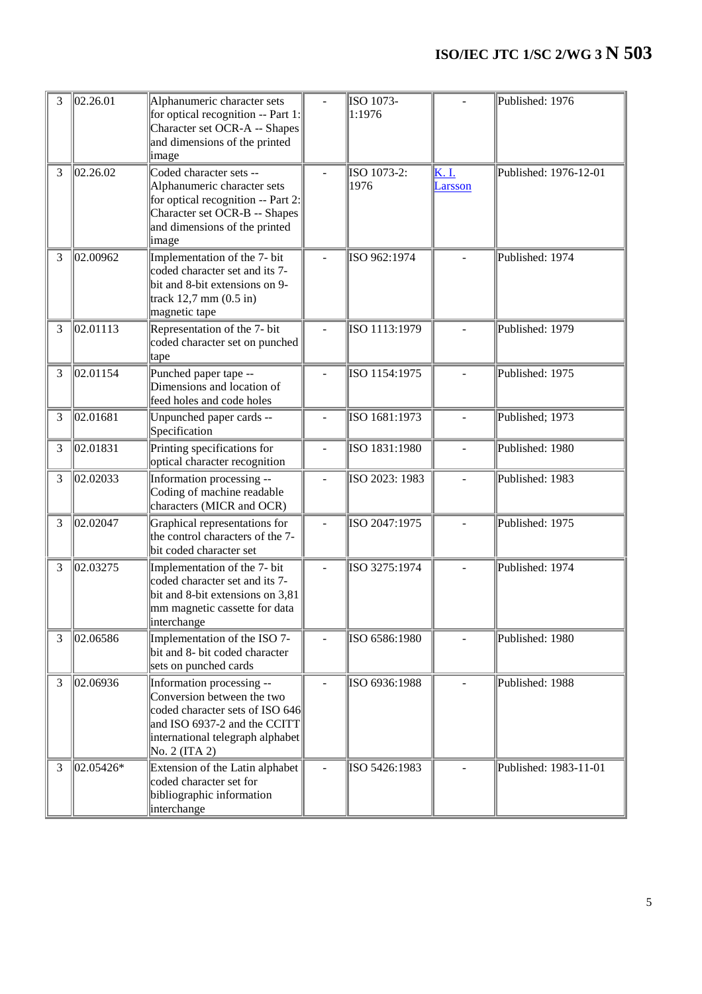# **ISO/IEC JTC 1/SC 2/WG 3 N 503**

| 3 | 02.26.01  | Alphanumeric character sets<br>for optical recognition -- Part 1:<br>Character set OCR-A -- Shapes<br>and dimensions of the printed<br>image                                    | ISO 1073-<br>1:1976 |                 | Published: 1976       |
|---|-----------|---------------------------------------------------------------------------------------------------------------------------------------------------------------------------------|---------------------|-----------------|-----------------------|
| 3 | 02.26.02  | Coded character sets --<br>Alphanumeric character sets<br>for optical recognition -- Part 2:<br>Character set OCR-B -- Shapes<br>and dimensions of the printed<br>image         | ISO 1073-2:<br>1976 | K.I.<br>Larsson | Published: 1976-12-01 |
| 3 | 02.00962  | Implementation of the 7- bit<br>coded character set and its 7-<br>bit and 8-bit extensions on 9-<br>track $12,7$ mm $(0.5$ in)<br>magnetic tape                                 | ISO 962:1974        |                 | Published: 1974       |
| 3 | 02.01113  | Representation of the 7- bit<br>coded character set on punched<br>tape                                                                                                          | ISO 1113:1979       |                 | Published: 1979       |
| 3 | 02.01154  | Punched paper tape --<br>Dimensions and location of<br>feed holes and code holes                                                                                                | ISO 1154:1975       |                 | Published: 1975       |
| 3 | 02.01681  | Unpunched paper cards --<br>Specification                                                                                                                                       | ISO 1681:1973       |                 | Published; 1973       |
| 3 | 02.01831  | Printing specifications for<br>optical character recognition                                                                                                                    | ISO 1831:1980       |                 | Published: 1980       |
| 3 | 02.02033  | Information processing --<br>Coding of machine readable<br>characters (MICR and OCR)                                                                                            | ISO 2023: 1983      |                 | Published: 1983       |
| 3 | 02.02047  | Graphical representations for<br>the control characters of the 7-<br>bit coded character set                                                                                    | ISO 2047:1975       |                 | Published: 1975       |
| 3 | 02.03275  | Implementation of the 7- bit<br>coded character set and its 7-<br>bit and 8-bit extensions on 3,81<br>mm magnetic cassette for data<br>interchange                              | ISO 3275:1974       |                 | Published: 1974       |
| 3 | 02.06586  | Implementation of the ISO 7-<br>bit and 8- bit coded character<br>sets on punched cards                                                                                         | ISO 6586:1980       |                 | Published: 1980       |
| 3 | 02.06936  | Information processing --<br>Conversion between the two<br>coded character sets of ISO 646<br>and ISO 6937-2 and the CCITT<br>international telegraph alphabet<br>No. 2 (ITA 2) | ISO 6936:1988       |                 | Published: 1988       |
| 3 | 02.05426* | Extension of the Latin alphabet<br>coded character set for<br>bibliographic information<br>interchange                                                                          | ISO 5426:1983       |                 | Published: 1983-11-01 |